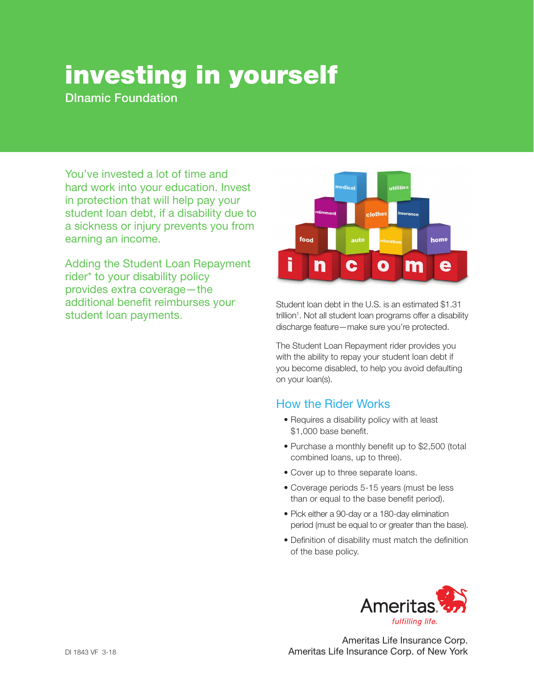## investing in yourself

DInamic Foundation

You've invested a lot of time and hard work into your education. Invest in protection that will help pay your student loan debt, if a disability due to a sickness or injury prevents you from earning an income.

Adding the Student Loan Repayment rider\* to your disability policy provides extra coverage—the additional benefit reimburses your student loan payments.



Student loan debt in the U.S. is an estimated \$1.31 trillion<sup>1</sup>. Not all student loan programs offer a disability discharge feature—make sure you're protected.

The Student Loan Repayment rider provides you with the ability to repay your student loan debt if you become disabled, to help you avoid defaulting on your loan(s).

## How the Rider Works

- Requires a disability policy with at least \$1,000 base benefit.
- Purchase a monthly benefit up to \$2,500 (total combined loans, up to three).
- Cover up to three separate loans.
- Coverage periods 5-15 years (must be less than or equal to the base benefit period).
- Pick either a 90-day or a 180-day elimination period (must be equal to or greater than the base).
- Definition of disability must match the definition of the base policy.



Ameritas Life Insurance Corp. Ameritas Life Insurance Corp. of New York